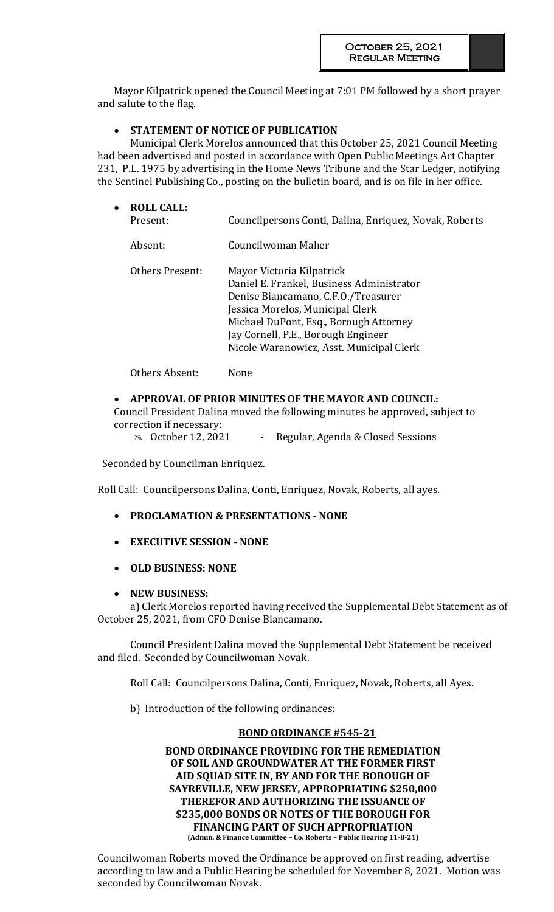Mayor Kilpatrick opened the Council Meeting at 7:01 PM followed by a short prayer and salute to the flag.

# **STATEMENT OF NOTICE OF PUBLICATION**

Municipal Clerk Morelos announced that this October 25, 2021 Council Meeting had been advertised and posted in accordance with Open Public Meetings Act Chapter 231, P.L. 1975 by advertising in the Home News Tribune and the Star Ledger, notifying the Sentinel Publishing Co., posting on the bulletin board, and is on file in her office.

| $\bullet$ | <b>ROLL CALL:</b><br>Present: | Councilpersons Conti, Dalina, Enriquez, Novak, Roberts                                                                                                                                                                                                                         |
|-----------|-------------------------------|--------------------------------------------------------------------------------------------------------------------------------------------------------------------------------------------------------------------------------------------------------------------------------|
|           | Absent:                       | Councilwoman Maher                                                                                                                                                                                                                                                             |
|           | Others Present:               | Mayor Victoria Kilpatrick<br>Daniel E. Frankel, Business Administrator<br>Denise Biancamano, C.F.O./Treasurer<br>Jessica Morelos, Municipal Clerk<br>Michael DuPont, Esq., Borough Attorney<br>Jay Cornell, P.E., Borough Engineer<br>Nicole Waranowicz, Asst. Municipal Clerk |
|           | Others Absent:                | None                                                                                                                                                                                                                                                                           |

# **APPROVAL OF PRIOR MINUTES OF THE MAYOR AND COUNCIL:**

Council President Dalina moved the following minutes be approved, subject to correction if necessary:

im October 12, 2021 - Regular, Agenda & Closed Sessions

Seconded by Councilman Enriquez.

Roll Call: Councilpersons Dalina, Conti, Enriquez, Novak, Roberts, all ayes.

- **PROCLAMATION & PRESENTATIONS - NONE**
- **EXECUTIVE SESSION - NONE**
- **OLD BUSINESS: NONE**

# **NEW BUSINESS:**

a) Clerk Morelos reported having received the Supplemental Debt Statement as of October 25, 2021, from CFO Denise Biancamano.

Council President Dalina moved the Supplemental Debt Statement be received and filed. Seconded by Councilwoman Novak.

Roll Call: Councilpersons Dalina, Conti, Enriquez, Novak, Roberts, all Ayes.

b) Introduction of the following ordinances:

## **BOND ORDINANCE #545-21**

**BOND ORDINANCE PROVIDING FOR THE REMEDIATION OF SOIL AND GROUNDWATER AT THE FORMER FIRST AID SQUAD SITE IN, BY AND FOR THE BOROUGH OF SAYREVILLE, NEW JERSEY, APPROPRIATING \$250,000 THEREFOR AND AUTHORIZING THE ISSUANCE OF \$235,000 BONDS OR NOTES OF THE BOROUGH FOR FINANCING PART OF SUCH APPROPRIATION (Admin. & Finance Committee – Co. Roberts – Public Hearing 11-8-21)**

Councilwoman Roberts moved the Ordinance be approved on first reading, advertise according to law and a Public Hearing be scheduled for November 8, 2021. Motion was seconded by Councilwoman Novak.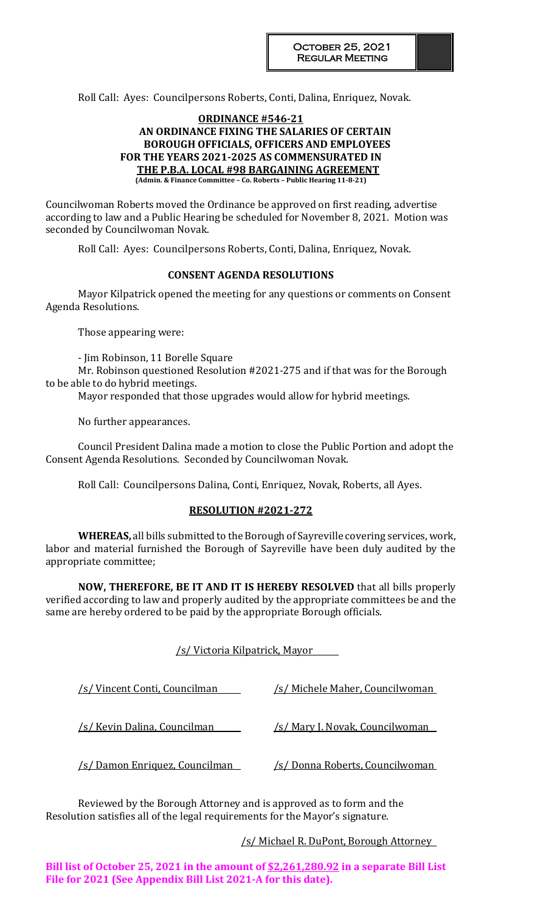Roll Call: Ayes: Councilpersons Roberts, Conti, Dalina, Enriquez, Novak.

## **ORDINANCE #546-21 AN ORDINANCE FIXING THE SALARIES OF CERTAIN BOROUGH OFFICIALS, OFFICERS AND EMPLOYEES FOR THE YEARS 2021-2025 AS COMMENSURATED IN THE P.B.A. LOCAL #98 BARGAINING AGREEMENT (Admin. & Finance Committee – Co. Roberts – Public Hearing 11-8-21)**

Councilwoman Roberts moved the Ordinance be approved on first reading, advertise according to law and a Public Hearing be scheduled for November 8, 2021. Motion was seconded by Councilwoman Novak.

Roll Call: Ayes: Councilpersons Roberts, Conti, Dalina, Enriquez, Novak.

# **CONSENT AGENDA RESOLUTIONS**

Mayor Kilpatrick opened the meeting for any questions or comments on Consent Agenda Resolutions.

Those appearing were:

- Jim Robinson, 11 Borelle Square

Mr. Robinson questioned Resolution #2021-275 and if that was for the Borough to be able to do hybrid meetings.

Mayor responded that those upgrades would allow for hybrid meetings.

No further appearances.

Council President Dalina made a motion to close the Public Portion and adopt the Consent Agenda Resolutions. Seconded by Councilwoman Novak.

Roll Call: Councilpersons Dalina, Conti, Enriquez, Novak, Roberts, all Ayes.

## **RESOLUTION #2021-272**

**WHEREAS,** all bills submitted to the Borough of Sayreville covering services, work, labor and material furnished the Borough of Sayreville have been duly audited by the appropriate committee;

**NOW, THEREFORE, BE IT AND IT IS HEREBY RESOLVED** that all bills properly verified according to law and properly audited by the appropriate committees be and the same are hereby ordered to be paid by the appropriate Borough officials.

|  | /s/ Victoria Kilpatrick, Mayor |  |
|--|--------------------------------|--|
|  |                                |  |

| /s/Vincent Conti, Councilman             | /s/ Michele Maher, Councilwoman        |
|------------------------------------------|----------------------------------------|
| /s/ Kevin Dalina, Councilman             | <u>/s/ Mary J. Novak, Councilwoman</u> |
| <u>'s/ Damon Enriquez, Councilman - </u> | <u>/s/ Donna Roberts, Councilwoman</u> |

Reviewed by the Borough Attorney and is approved as to form and the Resolution satisfies all of the legal requirements for the Mayor's signature.

# /s/ Michael R. DuPont, Borough Attorney

**Bill list of October 25, 2021 in the amount of \$2,261,280.92 in a separate Bill List File for 2021 (See Appendix Bill List 2021-A for this date).**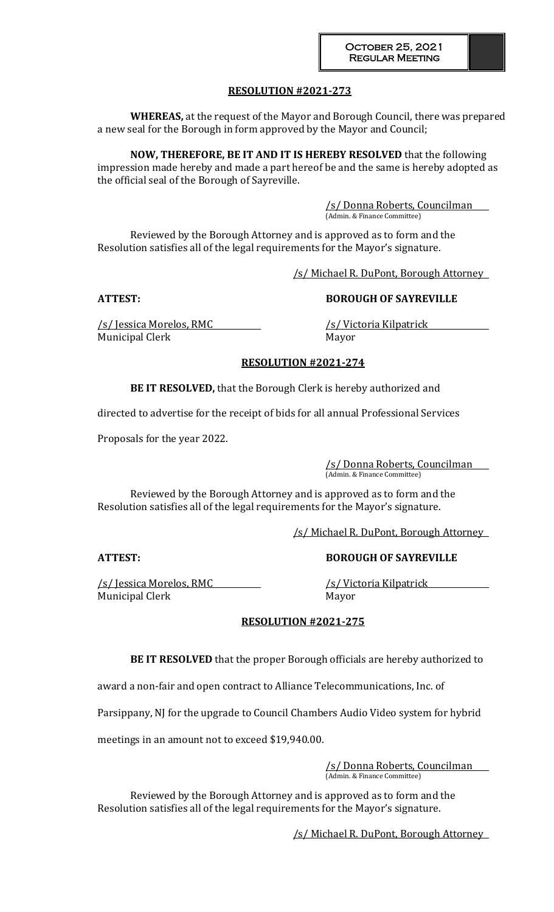# **RESOLUTION #2021-273**

**WHEREAS,** at the request of the Mayor and Borough Council, there was prepared a new seal for the Borough in form approved by the Mayor and Council;

**NOW, THEREFORE, BE IT AND IT IS HEREBY RESOLVED** that the following impression made hereby and made a part hereof be and the same is hereby adopted as the official seal of the Borough of Sayreville.

> /s/ Donna Roberts, Councilman (Admin. & Finance Committee)

Reviewed by the Borough Attorney and is approved as to form and the Resolution satisfies all of the legal requirements for the Mayor's signature.

/s/ Michael R. DuPont, Borough Attorney

**ATTEST: BOROUGH OF SAYREVILLE**

/s/ Jessica Morelos, RMC /s/ Victoria Kilpatrick Municipal Clerk Mayor

# **RESOLUTION #2021-274**

**BE IT RESOLVED,** that the Borough Clerk is hereby authorized and

directed to advertise for the receipt of bids for all annual Professional Services

Proposals for the year 2022.

/s/ Donna Roberts, Councilman (Admin. & Finance Committee)

Reviewed by the Borough Attorney and is approved as to form and the Resolution satisfies all of the legal requirements for the Mayor's signature.

/s/ Michael R. DuPont, Borough Attorney

/s/ Jessica Morelos, RMC /s/ Victoria Kilpatrick Municipal Clerk Mayor

# **ATTEST: BOROUGH OF SAYREVILLE**

## **RESOLUTION #2021-275**

**BE IT RESOLVED** that the proper Borough officials are hereby authorized to

award a non-fair and open contract to Alliance Telecommunications, Inc. of

Parsippany, NJ for the upgrade to Council Chambers Audio Video system for hybrid

meetings in an amount not to exceed \$19,940.00.

/s/ Donna Roberts, Councilman (Admin. & Finance Committee)

Reviewed by the Borough Attorney and is approved as to form and the Resolution satisfies all of the legal requirements for the Mayor's signature.

/s/ Michael R. DuPont, Borough Attorney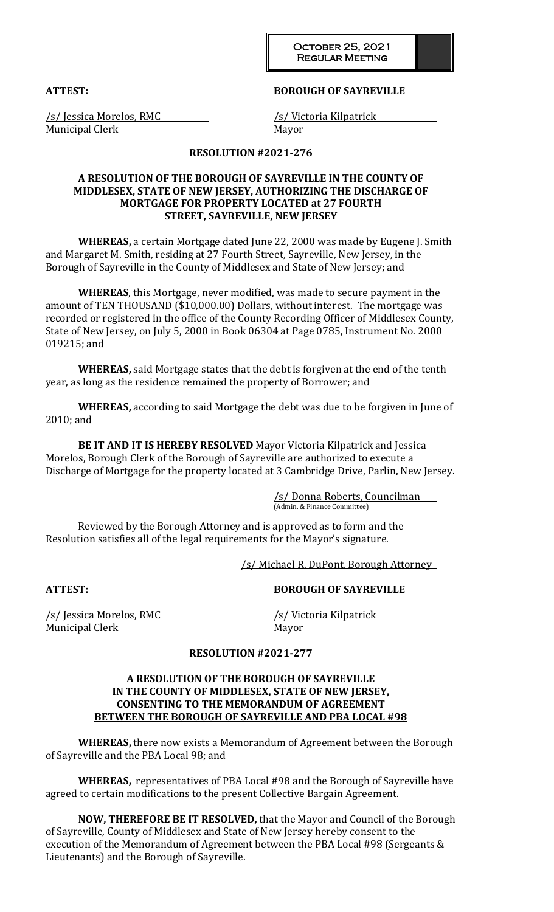October 25, 2021 Regular Meeting

## **ATTEST: BOROUGH OF SAYREVILLE**

/s/ Jessica Morelos, RMC /s/ Victoria Kilpatrick Municipal Clerk Mayor

## **RESOLUTION #2021-276**

## **A RESOLUTION OF THE BOROUGH OF SAYREVILLE IN THE COUNTY OF MIDDLESEX, STATE OF NEW JERSEY, AUTHORIZING THE DISCHARGE OF MORTGAGE FOR PROPERTY LOCATED at 27 FOURTH STREET, SAYREVILLE, NEW JERSEY**

**WHEREAS,** a certain Mortgage dated June 22, 2000 was made by Eugene J. Smith and Margaret M. Smith, residing at 27 Fourth Street, Sayreville, New Jersey, in the Borough of Sayreville in the County of Middlesex and State of New Jersey; and

**WHEREAS**, this Mortgage, never modified, was made to secure payment in the amount of TEN THOUSAND (\$10,000.00) Dollars, without interest. The mortgage was recorded or registered in the office of the County Recording Officer of Middlesex County, State of New Jersey, on July 5, 2000 in Book 06304 at Page 0785, Instrument No. 2000 019215; and

**WHEREAS,** said Mortgage states that the debt is forgiven at the end of the tenth year, as long as the residence remained the property of Borrower; and

**WHEREAS,** according to said Mortgage the debt was due to be forgiven in June of 2010; and

**BE IT AND IT IS HEREBY RESOLVED** Mayor Victoria Kilpatrick and Jessica Morelos, Borough Clerk of the Borough of Sayreville are authorized to execute a Discharge of Mortgage for the property located at 3 Cambridge Drive, Parlin, New Jersey.

> /s/ Donna Roberts, Councilman (Admin. & Finance Committee)

Reviewed by the Borough Attorney and is approved as to form and the Resolution satisfies all of the legal requirements for the Mayor's signature.

/s/ Michael R. DuPont, Borough Attorney

## **ATTEST: BOROUGH OF SAYREVILLE**

/s/ Jessica Morelos, RMC /s/ Victoria Kilpatrick Municipal Clerk Mayor

## **RESOLUTION #2021-277**

## **A RESOLUTION OF THE BOROUGH OF SAYREVILLE IN THE COUNTY OF MIDDLESEX, STATE OF NEW JERSEY, CONSENTING TO THE MEMORANDUM OF AGREEMENT BETWEEN THE BOROUGH OF SAYREVILLE AND PBA LOCAL #98**

**WHEREAS,** there now exists a Memorandum of Agreement between the Borough of Sayreville and the PBA Local 98; and

**WHEREAS,** representatives of PBA Local #98 and the Borough of Sayreville have agreed to certain modifications to the present Collective Bargain Agreement.

**NOW, THEREFORE BE IT RESOLVED,** that the Mayor and Council of the Borough of Sayreville, County of Middlesex and State of New Jersey hereby consent to the execution of the Memorandum of Agreement between the PBA Local #98 (Sergeants & Lieutenants) and the Borough of Sayreville.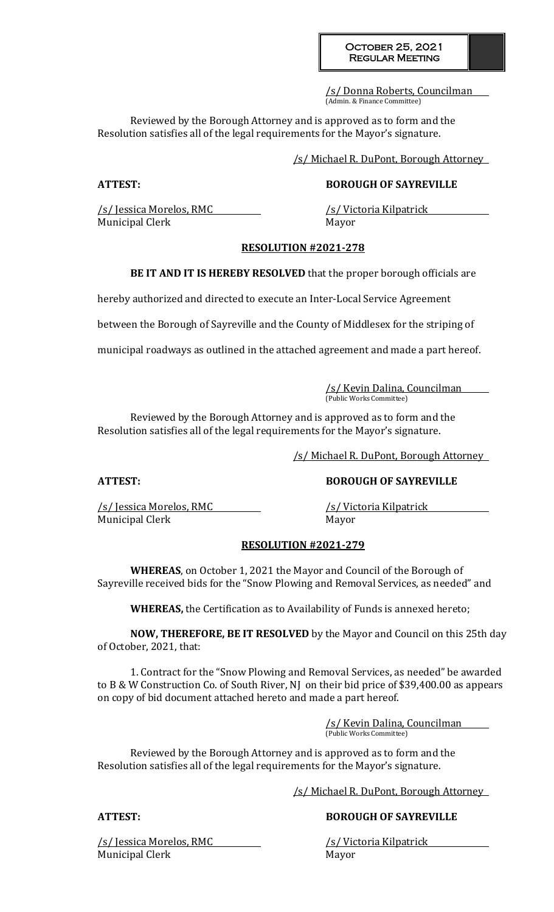## October 25, 2021 Regular Meeting

/s/ Donna Roberts, Councilman (Admin. & Finance Committee)

Reviewed by the Borough Attorney and is approved as to form and the Resolution satisfies all of the legal requirements for the Mayor's signature.

/s/ Michael R. DuPont, Borough Attorney

# **ATTEST: BOROUGH OF SAYREVILLE**

/s/ Jessica Morelos, RMC /s/ Victoria Kilpatrick Municipal Clerk Mayor

# **RESOLUTION #2021-278**

**BE IT AND IT IS HEREBY RESOLVED** that the proper borough officials are

hereby authorized and directed to execute an Inter-Local Service Agreement

between the Borough of Sayreville and the County of Middlesex for the striping of

municipal roadways as outlined in the attached agreement and made a part hereof.

/s/ Kevin Dalina, Councilman (Public Works Committee)

Reviewed by the Borough Attorney and is approved as to form and the Resolution satisfies all of the legal requirements for the Mayor's signature.

/s/ Michael R. DuPont, Borough Attorney

/s/ Jessica Morelos, RMC /s/ Victoria Kilpatrick Municipal Clerk Mayor

**ATTEST: BOROUGH OF SAYREVILLE**

## **RESOLUTION #2021-279**

**WHEREAS**, on October 1, 2021 the Mayor and Council of the Borough of Sayreville received bids for the "Snow Plowing and Removal Services, as needed" and

**WHEREAS,** the Certification as to Availability of Funds is annexed hereto;

**NOW, THEREFORE, BE IT RESOLVED** by the Mayor and Council on this 25th day of October, 2021, that:

1. Contract for the "Snow Plowing and Removal Services, as needed" be awarded to B & W Construction Co. of South River, NJ on their bid price of \$39,400.00 as appears on copy of bid document attached hereto and made a part hereof.

> /s/ Kevin Dalina, Councilman (Public Works Committee)

Reviewed by the Borough Attorney and is approved as to form and the Resolution satisfies all of the legal requirements for the Mayor's signature.

/s/ Michael R. DuPont, Borough Attorney

**ATTEST: BOROUGH OF SAYREVILLE**

/s/ Jessica Morelos, RMC /s/ Victoria Kilpatrick Municipal Clerk Mayor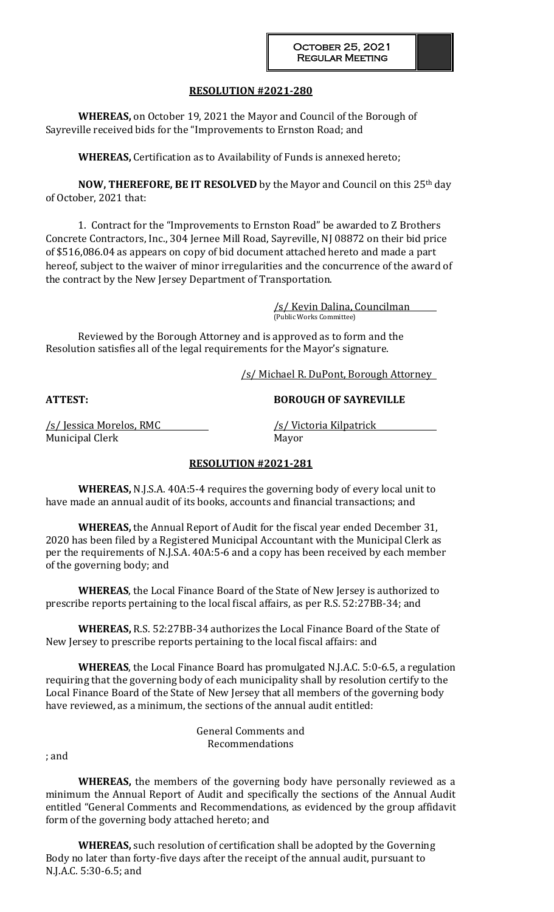## **RESOLUTION #2021-280**

**WHEREAS,** on October 19, 2021 the Mayor and Council of the Borough of Sayreville received bids for the "Improvements to Ernston Road; and

**WHEREAS,** Certification as to Availability of Funds is annexed hereto;

**NOW, THEREFORE, BE IT RESOLVED** by the Mayor and Council on this 25th day of October, 2021 that:

1. Contract for the "Improvements to Ernston Road" be awarded to Z Brothers Concrete Contractors, Inc., 304 Jernee Mill Road, Sayreville, NJ 08872 on their bid price of \$516,086.04 as appears on copy of bid document attached hereto and made a part hereof, subject to the waiver of minor irregularities and the concurrence of the award of the contract by the New Jersey Department of Transportation.

> /s/ Kevin Dalina, Councilman (Public Works Committee)

Reviewed by the Borough Attorney and is approved as to form and the Resolution satisfies all of the legal requirements for the Mayor's signature.

/s/ Michael R. DuPont, Borough Attorney

**ATTEST: BOROUGH OF SAYREVILLE**

/s/ Jessica Morelos, RMC /s/ Victoria Kilpatrick Municipal Clerk Mayor

# **RESOLUTION #2021-281**

**WHEREAS,** N.J.S.A. 40A:5-4 requires the governing body of every local unit to have made an annual audit of its books, accounts and financial transactions; and

**WHEREAS,** the Annual Report of Audit for the fiscal year ended December 31, 2020 has been filed by a Registered Municipal Accountant with the Municipal Clerk as per the requirements of N.J.S.A. 40A:5-6 and a copy has been received by each member of the governing body; and

**WHEREAS**, the Local Finance Board of the State of New Jersey is authorized to prescribe reports pertaining to the local fiscal affairs, as per R.S. 52:27BB-34; and

**WHEREAS,** R.S. 52:27BB-34 authorizes the Local Finance Board of the State of New Jersey to prescribe reports pertaining to the local fiscal affairs: and

**WHEREAS**, the Local Finance Board has promulgated N.J.A.C. 5:0-6.5, a regulation requiring that the governing body of each municipality shall by resolution certify to the Local Finance Board of the State of New Jersey that all members of the governing body have reviewed, as a minimum, the sections of the annual audit entitled:

> General Comments and Recommendations

; and

**WHEREAS,** the members of the governing body have personally reviewed as a minimum the Annual Report of Audit and specifically the sections of the Annual Audit entitled "General Comments and Recommendations, as evidenced by the group affidavit form of the governing body attached hereto; and

**WHEREAS,** such resolution of certification shall be adopted by the Governing Body no later than forty-five days after the receipt of the annual audit, pursuant to N.J.A.C. 5:30-6.5; and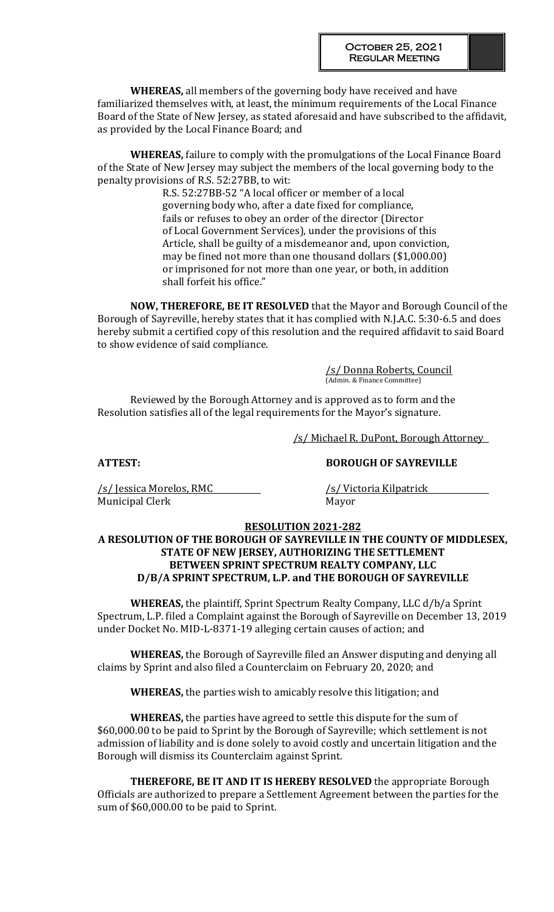**WHEREAS,** all members of the governing body have received and have familiarized themselves with, at least, the minimum requirements of the Local Finance Board of the State of New Jersey, as stated aforesaid and have subscribed to the affidavit, as provided by the Local Finance Board; and

**WHEREAS,** failure to comply with the promulgations of the Local Finance Board of the State of New Jersey may subject the members of the local governing body to the penalty provisions of R.S. 52:27BB, to wit:

> R.S. 52:27BB-52 "A local officer or member of a local governing body who, after a date fixed for compliance, fails or refuses to obey an order of the director (Director of Local Government Services), under the provisions of this Article, shall be guilty of a misdemeanor and, upon conviction, may be fined not more than one thousand dollars (\$1,000.00) or imprisoned for not more than one year, or both, in addition shall forfeit his office."

**NOW, THEREFORE, BE IT RESOLVED** that the Mayor and Borough Council of the Borough of Sayreville, hereby states that it has complied with N.J.A.C. 5:30-6.5 and does hereby submit a certified copy of this resolution and the required affidavit to said Board to show evidence of said compliance.

> /s/ Donna Roberts, Council (Admin. & Finance Committee)

Reviewed by the Borough Attorney and is approved as to form and the Resolution satisfies all of the legal requirements for the Mayor's signature.

/s/ Michael R. DuPont, Borough Attorney

**ATTEST: BOROUGH OF SAYREVILLE**

/s/ Jessica Morelos, RMC /s/ Victoria Kilpatrick Municipal Clerk Mayor

## **RESOLUTION 2021-282**

**A RESOLUTION OF THE BOROUGH OF SAYREVILLE IN THE COUNTY OF MIDDLESEX, STATE OF NEW JERSEY, AUTHORIZING THE SETTLEMENT BETWEEN SPRINT SPECTRUM REALTY COMPANY, LLC D/B/A SPRINT SPECTRUM, L.P. and THE BOROUGH OF SAYREVILLE**

**WHEREAS,** the plaintiff, Sprint Spectrum Realty Company, LLC d/b/a Sprint Spectrum, L.P. filed a Complaint against the Borough of Sayreville on December 13, 2019 under Docket No. MID-L-8371-19 alleging certain causes of action; and

**WHEREAS,** the Borough of Sayreville filed an Answer disputing and denying all claims by Sprint and also filed a Counterclaim on February 20, 2020; and

**WHEREAS,** the parties wish to amicably resolve this litigation; and

**WHEREAS,** the parties have agreed to settle this dispute for the sum of \$60,000.00 to be paid to Sprint by the Borough of Sayreville; which settlement is not admission of liability and is done solely to avoid costly and uncertain litigation and the Borough will dismiss its Counterclaim against Sprint.

**THEREFORE, BE IT AND IT IS HEREBY RESOLVED** the appropriate Borough Officials are authorized to prepare a Settlement Agreement between the parties for the sum of \$60,000.00 to be paid to Sprint.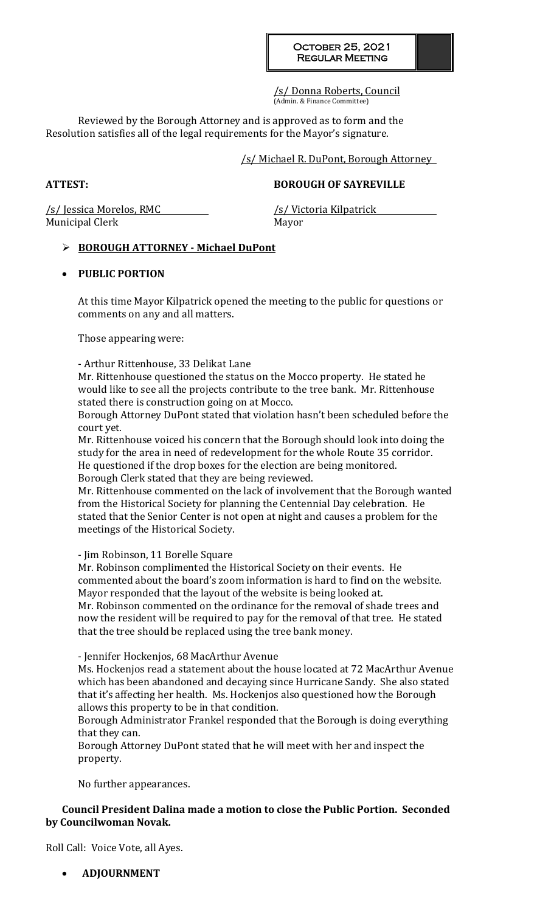/s/ Donna Roberts, Council (Admin. & Finance Committee)

Reviewed by the Borough Attorney and is approved as to form and the Resolution satisfies all of the legal requirements for the Mayor's signature.

/s/ Michael R. DuPont, Borough Attorney

**ATTEST: BOROUGH OF SAYREVILLE**

/s/ Jessica Morelos, RMC /s/ Victoria Kilpatrick Municipal Clerk Mayor

# **BOROUGH ATTORNEY - Michael DuPont**

# **PUBLIC PORTION**

At this time Mayor Kilpatrick opened the meeting to the public for questions or comments on any and all matters.

Those appearing were:

- Arthur Rittenhouse, 33 Delikat Lane

Mr. Rittenhouse questioned the status on the Mocco property. He stated he would like to see all the projects contribute to the tree bank. Mr. Rittenhouse stated there is construction going on at Mocco.

Borough Attorney DuPont stated that violation hasn't been scheduled before the court yet.

Mr. Rittenhouse voiced his concern that the Borough should look into doing the study for the area in need of redevelopment for the whole Route 35 corridor. He questioned if the drop boxes for the election are being monitored. Borough Clerk stated that they are being reviewed.

Mr. Rittenhouse commented on the lack of involvement that the Borough wanted from the Historical Society for planning the Centennial Day celebration. He stated that the Senior Center is not open at night and causes a problem for the meetings of the Historical Society.

- Jim Robinson, 11 Borelle Square

Mr. Robinson complimented the Historical Society on their events. He commented about the board's zoom information is hard to find on the website. Mayor responded that the layout of the website is being looked at. Mr. Robinson commented on the ordinance for the removal of shade trees and

now the resident will be required to pay for the removal of that tree. He stated that the tree should be replaced using the tree bank money.

- Jennifer Hockenjos, 68 MacArthur Avenue

Ms. Hockenjos read a statement about the house located at 72 MacArthur Avenue which has been abandoned and decaying since Hurricane Sandy. She also stated that it's affecting her health. Ms. Hockenjos also questioned how the Borough allows this property to be in that condition.

Borough Administrator Frankel responded that the Borough is doing everything that they can.

Borough Attorney DuPont stated that he will meet with her and inspect the property.

No further appearances.

# **Council President Dalina made a motion to close the Public Portion. Seconded by Councilwoman Novak.**

Roll Call: Voice Vote, all Ayes.

**ADJOURNMENT**